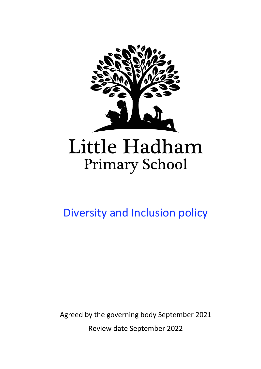

Diversity and Inclusion policy

Agreed by the governing body September 2021 Review date September 2022